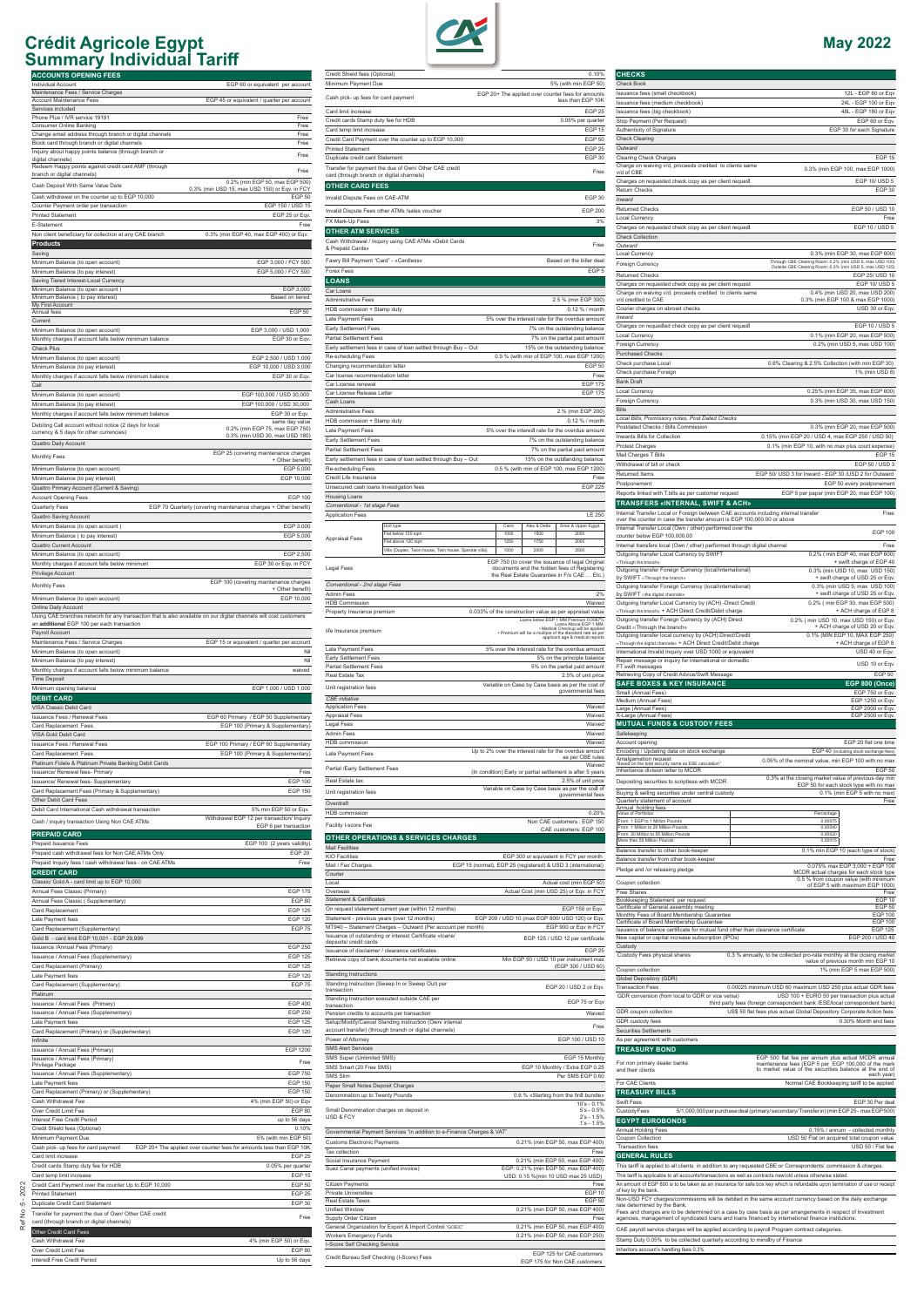

Issuance / Annual Fees (Supplementary) EGP 125 Card Replacement (Primary) **EGP 125** Late Payment fees EGP 120 Co

| Card Replacement (Supplementary)                                                                           | <b>EGP 75</b>           |
|------------------------------------------------------------------------------------------------------------|-------------------------|
| Platinum                                                                                                   |                         |
| Issuance / Annual Fees (Primary)                                                                           | <b>EGP 400</b>          |
| Issuance / Annual Fees (Supplementary)                                                                     | <b>EGP 250</b>          |
| Late Payment fees                                                                                          | <b>EGP 125</b>          |
| Card Replacement (Primary) or (Supplementary)                                                              | <b>EGP 120</b>          |
| Infinite                                                                                                   |                         |
| Issuance / Annual Fees (Primary)                                                                           | <b>EGP 1200</b>         |
| Issuance / Annual Fees (Primary)<br>Privilege Package                                                      | Free                    |
| Issuance / Annual Fees (Supplementary)                                                                     | <b>EGP 750</b>          |
| Late Payment fees                                                                                          | <b>EGP 150</b>          |
| Card Replacement (Primary) or (Supplementary)                                                              | <b>EGP 150</b>          |
| Cash Withdrawal Fee                                                                                        | 4% (min EGP 50) or Eqv  |
| Over Credit Limit Fee                                                                                      | <b>EGP 80</b>           |
| Interest Free Credit Period                                                                                | up to 56 days           |
| Credit Shield fees (Optional)                                                                              | 0.10%                   |
| Minimum Payment Due                                                                                        | 5% (with min EGP 50)    |
| Cash pick- up fees for card payment<br>EGP 20+ The applied over counter fees for amounts less than EGP 10K |                         |
| Card limit increase                                                                                        | <b>FGP 25</b>           |
| Credit cards Stamp duty fee for HDB                                                                        | 0.05% per quarter       |
| Card temp limit increase                                                                                   | EGP <sub>15</sub>       |
| Credit Card Payment over the counter Up to EGP 10,000                                                      | <b>EGP 50</b>           |
| <b>Printed Statement</b>                                                                                   | <b>EGP 25</b>           |
| Duplicate Credit Card Statement                                                                            | EGP <sub>30</sub>       |
| Transfer for payment the due of Own/ Other CAE credit<br>card (through branch or digital channels)         | Free                    |
| Other Credit Card Fees                                                                                     |                         |
| Cash Withdrawal Fee                                                                                        | 4% (min EGP 50) or Eqv. |
| Over Credit Limit Fee                                                                                      | <b>EGP 80</b>           |
| Interest Free Credit Period                                                                                | Up to 56 days           |



| transaction                                                            | 21 20 / 00 D 2 01 L 4 V.                                                   |
|------------------------------------------------------------------------|----------------------------------------------------------------------------|
| Standing Instruction executed outside CAE per<br>transaction           | EGP 75 or Eav                                                              |
| Pension credits to accounts per transaction                            | Waived                                                                     |
| Setup/Modify/Cancel Standing instruction (Own/ internal                | Free                                                                       |
| account transfer) (through branch or digital channels)                 |                                                                            |
| Power of Attorney                                                      | EGP 100 / USD 10                                                           |
| <b>SMS Alert Services</b>                                              |                                                                            |
| SMS Super (Unlimited SMS)                                              | EGP 15 Monthly                                                             |
| SMS Smart (20 Free SMS)                                                | EGP 10 Monthly / Extra EGP 0.25                                            |
| <b>SMS Slim</b>                                                        | Per SMS EGP 0.60                                                           |
| Paper Small Notes Deposit Charges                                      |                                                                            |
| Denomination up to Twenty Pounds                                       | 0.6 % «Starting from the first bundle»                                     |
| Small Denomination charges on deposit in<br><b>USD &amp; FCY</b>       | $10's - 0.1%$<br>$5's - 0.5%$<br>$2's - 1.5%$<br>$1's - 1.5%$              |
| Governmental Payment Services "in addition to e-Finance Charges & VAT" |                                                                            |
| <b>Customs Electronic Payments</b>                                     | 0.21% (min EGP 50, max EGP 400)                                            |
| Tax collection                                                         | Free                                                                       |
| Social Insurance Payment                                               | 0.21% (min EGP 50, max EGP 400)                                            |
| Suez Canal payments (unified invoice)                                  | EGP: 0.21% (min EGP 50, max EGP 400)<br>USD: 0.15 %(min 10 USD max 25 USD) |
| <b>Citizen Payments</b>                                                | Free                                                                       |
| Private Universities                                                   | <b>EGP 10</b>                                                              |
| Real Estate Taxes                                                      | <b>EGP 50</b>                                                              |
| <b>Unified Window</b>                                                  | 0.21% (min EGP 50, max EGP 400)                                            |
| Supply Order Citizen                                                   | Free                                                                       |
| General Organization for Export & Import Control "GOEIC"               | 0.21% (min EGP 50, max EGP 400)                                            |
| <b>Workers Emergency Funds</b>                                         | 0.21% (min EGP 50, max EGP 250)                                            |
| I-Score Self Checking Service                                          |                                                                            |
| Credit Bureau Self Checking (I-Score) Fees                             | EGP 125 for CAF customers<br>EGP 175 for Non CAE customers                 |

### **CHECKS** Check Book Issuance fees (small checkbook) 12L - EGP 60 or Eqv Issuance fees (medium checkbook) ance fees (big checkbook) 48L - EGP 180 or Eqv Stop Payment (Per Request) EGP 60 or Eqv.<br>
Authenticity of Signature<br>
EGP 30 for each Signature<br>
EGP 30 for each Signature EGP 30 for each Signature Check Clearing *Outward* Clearing Check Charges EGP 15 Charge on waiving v/d, proceeds credited to clients same<br>v/d of CBE 0.3% (min EGP 100, max EGP 1000)<br>EGP 10/ USD 5 Charges on requested check copy as per client request Return Checks EGP 30 *Inward* Returned Checks **EGP 50** / USD 10 Local Currency Free<br>
Charges on requested check copy as per client request<br>
EGP 10 / USD 5 Charges on requested check copy as per client request Check Collection *Outward* Local Currency 0.3% (min EGP 30, max EGP 600)<br>Through CBF Clearing Room: 0.2% (min LISD 5, max LISD 100) Through CBE Clearing Room: 0.2% (min USD 5, max USD 100)<br>Outside CBE Clearing Room: 0.3% (min USD 5, max USD 125) Returned Checks EGP 25/ USD 10 Charges on requested check copy as per client request EGP 10/ USD 5 Charge on waiving v/d, proceeds credited to clients same v/d credited to CAE 0.4% (min USD 20, max USD 200) 0.3% (min EGP 100 & max EGP 1000) Courier charges on abroad checks USD 30 or Eqv. *Inward* Charges on requested check copy as per client request EGP 10 / USD 5 Local Currency 0.1% (min EGP 20, max EGP 500) Foreign Currency **Districts Controlled Foreign Currency D.2%** (min USD 5, max USD 100) Purchased Checks Check purchase Local 0.6% Clearing & 2.5% Collection (with min EGP 30) Check purchase Foreign 1% (min USD 8) Bank Draft Local Currency 0.25% (min EGP 35, max EGP 600) Foreign Currency 0.3% (min USD 30, max USD 150) Bills *Local Bills, Promissory notes, Post Dated Checks* Postdated Checks / Bills Commission 0.3% (min EGP 20, max EGP 500) Inwards Bills for Collection 0.15% (min EGP 20 / USD 4, max EGP 250 / USD 50) Protest Charges **2.1 Charges** 2.1% (min EGP 10, with no max plus court expense) Mail Charges T Bills EGP 15<br>
Withdrawal of bill or check EGP 50 / USD 3 Withdrawal of bill or check<br>Returned Items EGP 50/ USD 3 for Inward - EGP 30 /USD 2 for Outward Postponement EGP 50 every postponement Reports linked with T.bills as per customer request EGP 5 per paper (min EGP 20, max EGP 100) **TRANSFERS «INTERNAL, SWIFT & ACH»** Internal Transfer Local or Foreign between CAE accounts including internal transfer<br>over the counter in case the transfer amount is EGP 100,000.00 or above Internal Transfer Local (Own / other) performed over the Internal Transfer Local (Own / other) performed over the<br>counter below EGP 100,000.00 Internal transfers local (Own / other) performed through digital channel Free Outgoing transfer Local Currency by SWIFT ‹‹Through the branch» Outgoing transfer Foreign Currency (local/international) 0.2% ( min EGP 40, max EGP 600) + swift charge of EGP 40 by SWIFT **«Through the branch»** 0.3% (min USD 10, max USD 150) + swift charge of USD 25 or Eqv. oing transfer Foreign Currency (local/international) by SWIFT ‹‹the digital channels» 0.3% (min USD 5, max USD 100) + swift charge of USD 25 or Eqv. Outgoing transfer Local Currency by (ACH) -Direct Credit ugh the branch» + ACH Direct Credit/Debit charge 0.2% ( min EGP 30, max EGP 500) + ACH charge of EGP 8 Outgoing transfer Foreign Currency by (ACH) Direct Credit ‹‹Through the branch» 0.2% ( min USD 10, max USD 150) or Eqv.  $+$  ACH charge of USD 20 or Eqv.<br>0.1% (MIN EGP 10, MAX EGP 250) Order with business and currency by (ACH) Direct/Credit ‹‹Through the digital channels» + ACH Direct Credit/Debit charge + ACH charge of EGP 8 International Invalid Inquiry over USD 1000 or equivalent COME CONTEXT CONTEXT USD 40 or Eqv. Repair message or inquiry for international or domestic FT swift messages USD 10 or Eqv. Retrieving Copy of Credit Advice/Swift Message EGP 50 **SAFE BOXES & KEY INSURANCE EGP 800 (Once)** Small (Annual Fees) EGP 750 or Eqv. et al. 2012 12:30 or Eqv. 2013 Medium (Annual Fees) EGP 1250 or Eqv. Large (Annual Fees) EGP 2000 or Eqv. X-Large (Annual Fees) EGP 2500 or Eqv. **MUTUAL FUNDS & CUSTODY FEES** Safekeeping EGP 20 flat one time Encoding / Updating data on stock exchange EGP 40 (Including stock exchange fees) Amalgamation request<br>"Based on the total security same as ESE calcul 0.05% of the nominal value, min EGP 100 with no max<br>EGP 50 Inheritance division letter to MCDR<br>
Descriting accuration to excipt the current MODD 0.3% at the closing market value of previous day min Depositing securities to scriptless with MCDR EGP 50 for each stock type with no max Buying & selling securities under central custody 0.1% (min EGP 5 with no max) Quarterly statement of account Free Annual holding fees Value of Portfolios Percentage From 1 EGP to 1 Million Pounds 0.00075 From 1 Million to 20 Million Pounds 0.00040 From 20 Million to 55 Million Pounds 0.00020 More than 55 Million Pounds 0.00015 Balance transfer to other book-keeper 0.1% min EGP 10 (each type of stock)<br>Balance transfer from other book-keeper Free Free<br>Pledge and /or releasing pledge<br>Pledge and /or releasing pledge or produce the community of MCDR actual charges for each stock type Coupon collection 0.5 % from coupon value (with minimum of EGP 5 with maximum EGP 1000) Free Shares Free Shares Free Shares Free Shares Free Shares Free Shares Free Shares Free Shares Free Shares Free Shares Free Shares Free Shares Free Shares Free Shares Free Shares Free Shares Free Shares Free Shares Free S Bookkeeping Statement per request<br>
Certificate of General assembly meeting<br>
Monthly Fees of Board Membership Guarantee<br>
Certificate of Board Membership Guarantee<br>
EGP 100<br>
EGP 100<br>
EGP 100 Certificate of General assembly meeting EGP 50 Monthly Fees of Board Membership Guarantee EGP 100 Certificate of Board Membership Guarantee EGP 100 Issuance of balance certificate for mutual fund other than clearance certificate EGP 125<br>
New capital or capital increase subscription (IPOs) EGP 200 / USD 40 New capital or capital increase subscription (IPOs) Custody Custody Fees physical shares 0.3 % annually, to be collected pro-rata monthly at the closing market value of previous month min EGP 10

Global Depository (GDR)

| <b>Transaction Fees</b>                           | 0.00025 minimum USD 60 maximum USD 250 plus actual GDR fees                                                                                                                                                                                                                                                                  |
|---------------------------------------------------|------------------------------------------------------------------------------------------------------------------------------------------------------------------------------------------------------------------------------------------------------------------------------------------------------------------------------|
| GDR conversion (from local to GDR or vice versa)  | USD 100 + EURO 50 per transaction plus actual<br>third party fees (foreign correspondent bank /ESE/local correspondent bank)                                                                                                                                                                                                 |
| GDR coupon collection                             | US\$ 50 flat fees plus actual Global Depository Corporate Action fees                                                                                                                                                                                                                                                        |
| GDR custody fees                                  | 0.30% Month end fees                                                                                                                                                                                                                                                                                                         |
| Securities Settlements                            |                                                                                                                                                                                                                                                                                                                              |
| As per agreement with customers                   |                                                                                                                                                                                                                                                                                                                              |
| <b>TREASURY BOND</b>                              |                                                                                                                                                                                                                                                                                                                              |
| For non primary dealer banks<br>and their clients | EGP 500 flat fee per annum plus actual MCDR annual<br>maintenance fees (EGP 5 per EGP 100,000 of the mark<br>to market value of the securities balance at the end of<br>each year)                                                                                                                                           |
| For CAE Clients                                   | Normal CAE Bookkeeping tariff to be applied                                                                                                                                                                                                                                                                                  |
| <b>TREASURY BILLS</b>                             |                                                                                                                                                                                                                                                                                                                              |
| Swift Fees                                        | FGP 30 Per deal                                                                                                                                                                                                                                                                                                              |
| Custody Fees                                      | 5/1,000,000 per purchase deal (primary/secondary/Transfer in) (min EGP 25 - max EGP 500)                                                                                                                                                                                                                                     |
| <b>EGYPT EUROBONDS</b>                            |                                                                                                                                                                                                                                                                                                                              |
| Annual Holding Fees                               | 0.15% / annum - collected monthly                                                                                                                                                                                                                                                                                            |
| Coupon Collection                                 | USD 50 Flat on acquired total coupon value                                                                                                                                                                                                                                                                                   |
| <b>Transaction fees</b>                           | USD 50 / Flat fee                                                                                                                                                                                                                                                                                                            |
| <b>GENERAL RULES</b>                              |                                                                                                                                                                                                                                                                                                                              |
|                                                   | This tariff is applied to all clients in addition to any requested CBE or Correspondents' commission & charges.                                                                                                                                                                                                              |
|                                                   | This tariff is applicable to all accounts/transactions as well as contracts new/old unless otherwise stated.                                                                                                                                                                                                                 |
| of key by the bank.                               | An amount of EGP 800 is to be taken as an insurance for safe box key which is refundable upon termination of use or receipt                                                                                                                                                                                                  |
| rate determined by the Bank.                      | Non-USD FCY charges/commissions will be debited in the same account currency based on the daily exchange<br>Fees and charges are to be determined on a case by case basis as per arrangements in respect of investment<br>agencies, management of syndicated loans and loans financed by international finance institutions. |
|                                                   | CAE payroll service charges will be applied according to payroll Program contract categories.                                                                                                                                                                                                                                |
|                                                   | Stamp Duty 0.05% to be collected quarterly according to ministry of Finance                                                                                                                                                                                                                                                  |
| Inheritors account's handling fees 0.3%           |                                                                                                                                                                                                                                                                                                                              |

Coupon collection 1% (min EGP 5 max EGP 500)

Ref No :5 - 2022

Ref No: 5 - 2022

### **Crédit Agricole Egypt May 2022 Summary Individual Tariff**